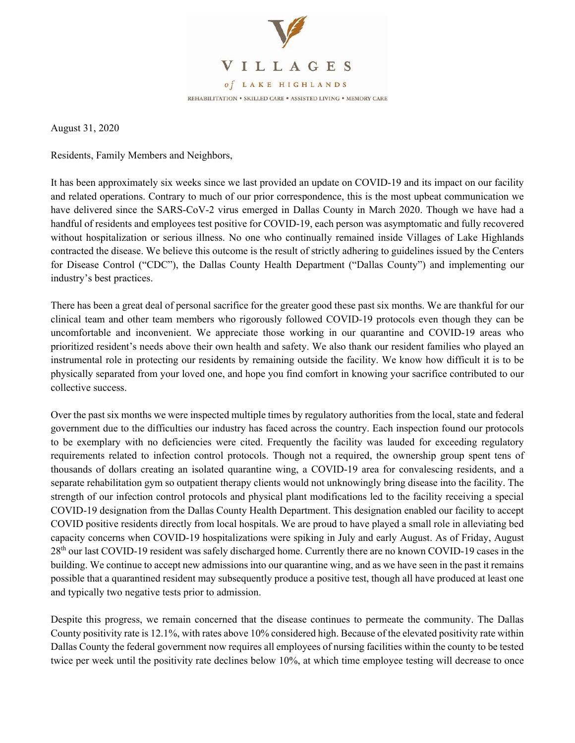

August 31, 2020

Residents, Family Members and Neighbors,

It has been approximately six weeks since we last provided an update on COVID-19 and its impact on our facility and related operations. Contrary to much of our prior correspondence, this is the most upbeat communication we have delivered since the SARS-CoV-2 virus emerged in Dallas County in March 2020. Though we have had a handful of residents and employees test positive for COVID-19, each person was asymptomatic and fully recovered without hospitalization or serious illness. No one who continually remained inside Villages of Lake Highlands contracted the disease. We believe this outcome is the result of strictly adhering to guidelines issued by the Centers for Disease Control ("CDC"), the Dallas County Health Department ("Dallas County") and implementing our industry's best practices.

There has been a great deal of personal sacrifice for the greater good these past six months. We are thankful for our clinical team and other team members who rigorously followed COVID-19 protocols even though they can be uncomfortable and inconvenient. We appreciate those working in our quarantine and COVID-19 areas who prioritized resident's needs above their own health and safety. We also thank our resident families who played an instrumental role in protecting our residents by remaining outside the facility. We know how difficult it is to be physically separated from your loved one, and hope you find comfort in knowing your sacrifice contributed to our collective success.

Over the past six months we were inspected multiple times by regulatory authorities from the local, state and federal government due to the difficulties our industry has faced across the country. Each inspection found our protocols to be exemplary with no deficiencies were cited. Frequently the facility was lauded for exceeding regulatory requirements related to infection control protocols. Though not a required, the ownership group spent tens of thousands of dollars creating an isolated quarantine wing, a COVID-19 area for convalescing residents, and a separate rehabilitation gym so outpatient therapy clients would not unknowingly bring disease into the facility. The strength of our infection control protocols and physical plant modifications led to the facility receiving a special COVID-19 designation from the Dallas County Health Department. This designation enabled our facility to accept COVID positive residents directly from local hospitals. We are proud to have played a small role in alleviating bed capacity concerns when COVID-19 hospitalizations were spiking in July and early August. As of Friday, August 28<sup>th</sup> our last COVID-19 resident was safely discharged home. Currently there are no known COVID-19 cases in the building. We continue to accept new admissions into our quarantine wing, and as we have seen in the past it remains possible that a quarantined resident may subsequently produce a positive test, though all have produced at least one and typically two negative tests prior to admission.

Despite this progress, we remain concerned that the disease continues to permeate the community. The Dallas County positivity rate is 12.1%, with rates above 10% considered high. Because of the elevated positivity rate within Dallas County the federal government now requires all employees of nursing facilities within the county to be tested twice per week until the positivity rate declines below 10%, at which time employee testing will decrease to once